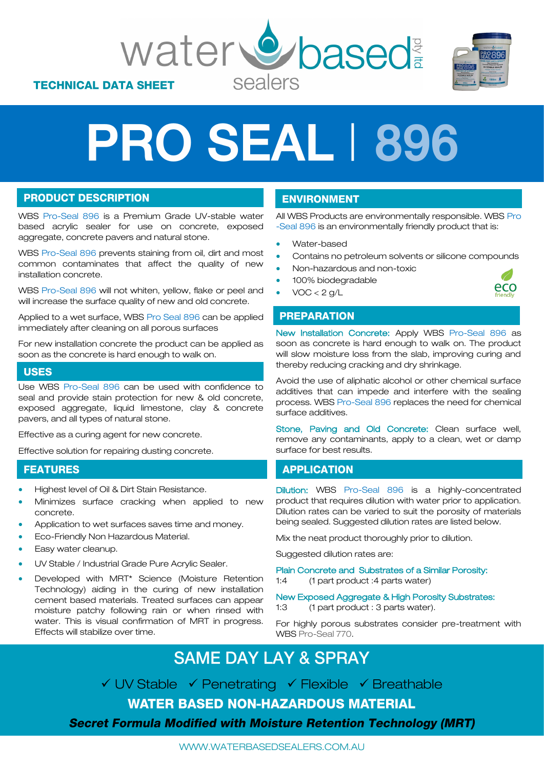



# PRO SEAL 1896

#### **PRODUCT DESCRIPTION**

WBS Pro-Seal 896 is a Premium Grade UV-stable water based acrylic sealer for use on concrete, exposed aggregate, concrete pavers and natural stone.

WBS Pro-Seal 896 prevents staining from oil, dirt and most common contaminates that affect the quality of new installation concrete.

WBS Pro-Seal 896 will not whiten, yellow, flake or peel and will increase the surface quality of new and old concrete.

Applied to a wet surface, WBS Pro Seal 896 can be applied immediately after cleaning on all porous surfaces

For new installation concrete the product can be applied as soon as the concrete is hard enough to walk on.

#### **USES**

Use WBS Pro-Seal 896 can be used with confidence to seal and provide stain protection for new & old concrete, exposed aggregate, liquid limestone, clay & concrete pavers, and all types of natural stone.

Effective as a curing agent for new concrete.

Effective solution for repairing dusting concrete.

#### **FEATURES**

- Highest level of Oil & Dirt Stain Resistance.
- Minimizes surface cracking when applied to new concrete.
- Application to wet surfaces saves time and money.
- Eco-Friendly Non Hazardous Material.
- Easy water cleanup.
- UV Stable / Industrial Grade Pure Acrylic Sealer.
- Developed with MRT\* Science (Moisture Retention Technology) aiding in the curing of new installation cement based materials. Treated surfaces can appear moisture patchy following rain or when rinsed with water. This is visual confirmation of MRT in progress. Effects will stabilize over time.

#### **ENVIRONMENT**

entally responsible. WBS Pro<br>friendly product that is: All WBS Products are environmentally responsible. WBS Pro -Seal 896 is an environmentally friendly product that is:

- Water-based
- Contains no petroleum solvents or silicone compounds
- Non-hazardous and non-toxic
- 100% biodegradable
- $VOC < 2 g/L$

#### O. eco

#### **PREPARATION**

New Installation Concrete: Apply WBS Pro-Seal 896 as soon as concrete is hard enough to walk on. The product will slow moisture loss from the slab, improving curing and thereby reducing cracking and dry shrinkage.

Avoid the use of aliphatic alcohol or other chemical surface additives that can impede and interfere with the sealing process. WBS Pro-Seal 896 replaces the need for chemical surface additives.

Stone, Paving and Old Concrete: Clean surface well, remove any contaminants, apply to a clean, wet or damp surface for best results.

#### **APPLICATION**

Dilution: WBS Pro-Seal 896 is a highly-concentrated product that requires dilution with water prior to application. Dilution rates can be varied to suit the porosity of materials being sealed. Suggested dilution rates are listed below.

Mix the neat product thoroughly prior to dilution.

Suggested dilution rates are:

Plain Concrete and Substrates of a Similar Porosity: 1:4 (1 part product :4 parts water)

New Exposed Aggregate & High Porosity Substrates: 1:3 (1 part product : 3 parts water).

For highly porous substrates consider pre-treatment with WBS Pro-Seal 770.

## **SAME DAY LAY & SPRAY**

✓ UV Stable ✓ Penetrating ✓ Flexible ✓ Breathable

**WATER BASED NON-HAZARDOUS MATERIAL** 

**Secret Formula Modified with Moisture Retention Technology (MRT)** 

WWW.WATERBASEDSEALERS.COM.AU